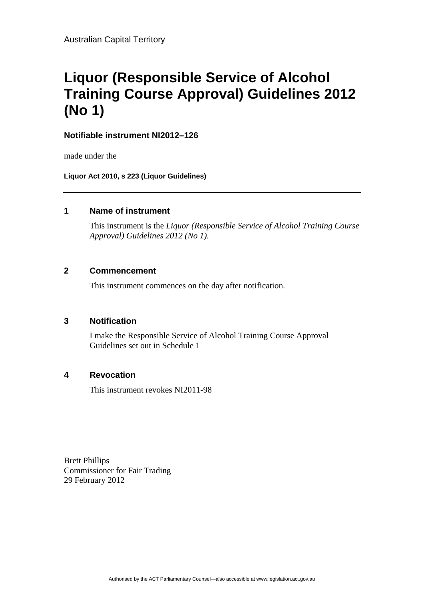# **Liquor (Responsible Service of Alcohol Training Course Approval) Guidelines 2012 (No 1)**

**Notifiable instrument NI2012–126**

made under the

**Liquor Act 2010, s 223 (Liquor Guidelines)**

#### **1 Name of instrument**

This instrument is the *Liquor (Responsible Service of Alcohol Training Course Approval) Guidelines 2012 (No 1)*.

# **2 Commencement**

This instrument commences on the day after notification.

# **3 Notification**

I make the Responsible Service of Alcohol Training Course Approval Guidelines set out in Schedule 1

# **4 Revocation**

This instrument revokes NI2011-98

Brett Phillips Commissioner for Fair Trading 29 February 2012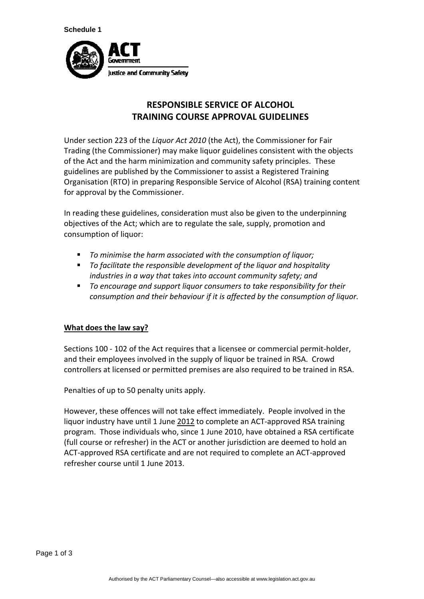

# **RESPONSIBLE SERVICE OF ALCOHOL TRAINING COURSE APPROVAL GUIDELINES**

Under section 223 of the *Liquor Act 2010* (the Act), the Commissioner for Fair Trading (the Commissioner) may make liquor guidelines consistent with the objects of the Act and the harm minimization and community safety principles. These guidelines are published by the Commissioner to assist a Registered Training Organisation (RTO) in preparing Responsible Service of Alcohol (RSA) training content for approval by the Commissioner.

In reading these guidelines, consideration must also be given to the underpinning objectives of the Act; which are to regulate the sale, supply, promotion and consumption of liquor:

- *To minimise the harm associated with the consumption of liquor;*
- *To facilitate the responsible development of the liquor and hospitality industries in a way that takes into account community safety; and*
- *To encourage and support liquor consumers to take responsibility for their consumption and their behaviour if it is affected by the consumption of liquor.*

# **What does the law say?**

Sections 100 - 102 of the Act requires that a licensee or commercial permit-holder, and their employees involved in the supply of liquor be trained in RSA. Crowd controllers at licensed or permitted premises are also required to be trained in RSA.

Penalties of up to 50 penalty units apply.

However, these offences will not take effect immediately. People involved in the liquor industry have until 1 June 2012 to complete an ACT-approved RSA training program. Those individuals who, since 1 June 2010, have obtained a RSA certificate (full course or refresher) in the ACT or another jurisdiction are deemed to hold an ACT‐approved RSA certificate and are not required to complete an ACT‐approved refresher course until 1 June 2013.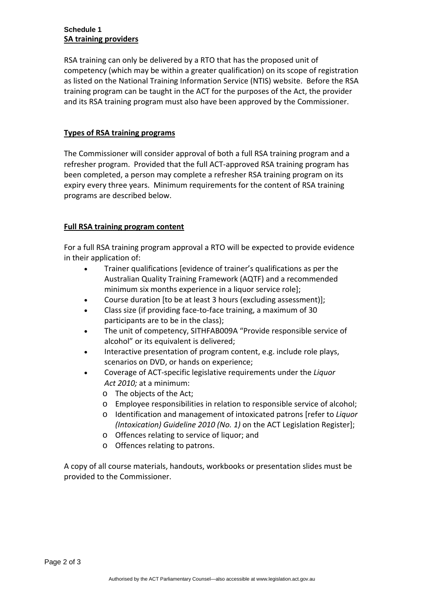#### **Schedule 1 SA training providers**

RSA training can only be delivered by a RTO that has the proposed unit of competency (which may be within a greater qualification) on its scope of registration as listed on the National Training Information Service (NTIS) website. Before the RSA training program can be taught in the ACT for the purposes of the Act, the provider and its RSA training program must also have been approved by the Commissioner.

#### **Types of RSA training programs**

The Commissioner will consider approval of both a full RSA training program and a refresher program. Provided that the full ACT‐approved RSA training program has been completed, a person may complete a refresher RSA training program on its expiry every three years. Minimum requirements for the content of RSA training programs are described below.

#### **Full RSA training program content**

For a full RSA training program approval a RTO will be expected to provide evidence in their application of:

- Trainer qualifications [evidence of trainer's qualifications as per the Australian Quality Training Framework (AQTF) and a recommended minimum six months experience in a liquor service role];
- Course duration [to be at least 3 hours (excluding assessment)];
- Class size (if providing face‐to‐face training, a maximum of 30 participants are to be in the class);
- The unit of competency, SITHFAB009A "Provide responsible service of alcohol" or its equivalent is delivered;
- Interactive presentation of program content, e.g. include role plays, scenarios on DVD, or hands on experience;
- Coverage of ACT‐specific legislative requirements under the *Liquor Act 2010;* at a minimum:
	- o The objects of the Act;
	- o Employee responsibilities in relation to responsible service of alcohol;
	- o Identification and management of intoxicated patrons [refer to *Liquor (Intoxication) Guideline 2010 (No. 1)* on the ACT Legislation Register];
	- o Offences relating to service of liquor; and
	- o Offences relating to patrons.

A copy of all course materials, handouts, workbooks or presentation slides must be provided to the Commissioner.